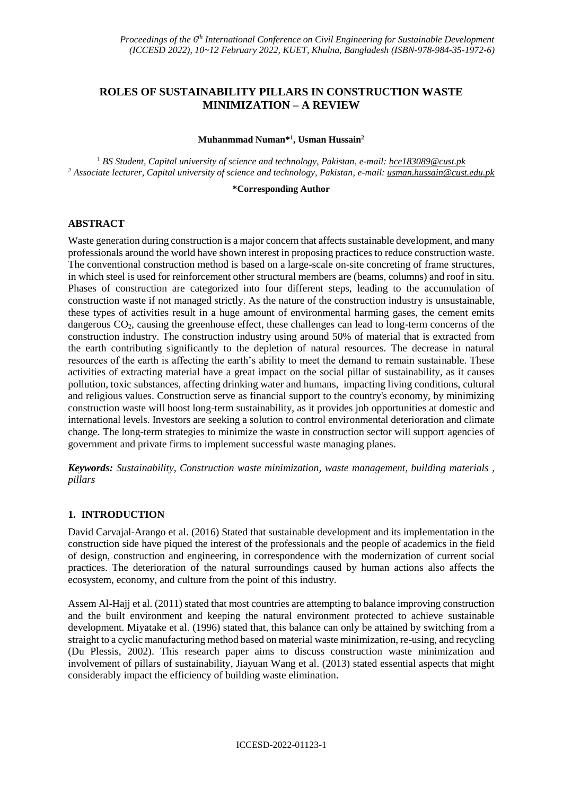# **ROLES OF SUSTAINABILITY PILLARS IN CONSTRUCTION WASTE MINIMIZATION – A REVIEW**

#### **Muhanmmad Numan\* 1 , Usman Hussain<sup>2</sup>**

<sup>1</sup> *BS Student, Capital university of science and technology, Pakistan, e-mail: bce183089@cust.pk <sup>2</sup> Associate lecturer, Capital university of science and technology, Pakistan, e-mail: usman.hussain@cust.edu.pk*

#### **\*Corresponding Author**

### **ABSTRACT**

Waste generation during construction is a major concern that affects sustainable development, and many professionals around the world have shown interest in proposing practices to reduce construction waste. The conventional construction method is based on a large-scale on-site concreting of frame structures, in which steel is used for reinforcement other structural members are (beams, columns) and roof in situ. Phases of construction are categorized into four different steps, leading to the accumulation of construction waste if not managed strictly. As the nature of the construction industry is unsustainable, these types of activities result in a huge amount of environmental harming gases, the cement emits dangerous CO2, causing the greenhouse effect, these challenges can lead to long-term concerns of the construction industry. The construction industry using around 50% of material that is extracted from the earth contributing significantly to the depletion of natural resources. The decrease in natural resources of the earth is affecting the earth's ability to meet the demand to remain sustainable. These activities of extracting material have a great impact on the social pillar of sustainability, as it causes pollution, toxic substances, affecting drinking water and humans, impacting living conditions, cultural and religious values. Construction serve as financial support to the country's economy, by minimizing construction waste will boost long-term sustainability, as it provides job opportunities at domestic and international levels. Investors are seeking a solution to control environmental deterioration and climate change. The long-term strategies to minimize the waste in construction sector will support agencies of government and private firms to implement successful waste managing planes.

*Keywords: Sustainability, Construction waste minimization, waste management, building materials , pillars*

#### **1. INTRODUCTION**

David Carvajal-Arango et al. (2016) Stated that sustainable development and its implementation in the construction side have piqued the interest of the professionals and the people of academics in the field of design, construction and engineering, in correspondence with the modernization of current social practices. The deterioration of the natural surroundings caused by human actions also affects the ecosystem, economy, and culture from the point of this industry.

Assem Al-Hajj et al. (2011) stated that most countries are attempting to balance improving construction and the built environment and keeping the natural environment protected to achieve sustainable development. Miyatake et al. (1996) stated that, this balance can only be attained by switching from a straight to a cyclic manufacturing method based on material waste minimization, re-using, and recycling (Du Plessis, 2002). This research paper aims to discuss construction waste minimization and involvement of pillars of sustainability, Jiayuan Wang et al. (2013) stated essential aspects that might considerably impact the efficiency of building waste elimination.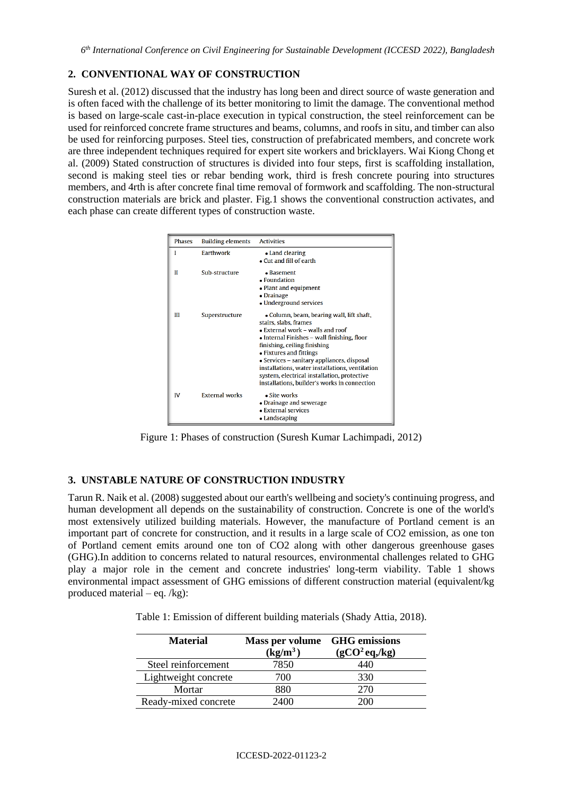## **2. CONVENTIONAL WAY OF CONSTRUCTION**

Suresh et al. (2012) discussed that the industry has long been and direct source of waste generation and is often faced with the challenge of its better monitoring to limit the damage. The conventional method is based on large-scale cast-in-place execution in typical construction, the steel reinforcement can be used for reinforced concrete frame structures and beams, columns, and roofs in situ, and timber can also be used for reinforcing purposes. Steel ties, construction of prefabricated members, and concrete work are three independent techniques required for expert site workers and bricklayers. Wai Kiong Chong et al. (2009) Stated construction of structures is divided into four steps, first is scaffolding installation, second is making steel ties or rebar bending work, third is fresh concrete pouring into structures members, and 4rth is after concrete final time removal of formwork and scaffolding. The non-structural construction materials are brick and plaster. Fig.1 shows the conventional construction activates, and each phase can create different types of construction waste.



Figure 1: Phases of construction (Suresh Kumar Lachimpadi, 2012)

## **3. UNSTABLE NATURE OF CONSTRUCTION INDUSTRY**

Tarun R. Naik et al. (2008) suggested about our earth's wellbeing and society's continuing progress, and human development all depends on the sustainability of construction. Concrete is one of the world's most extensively utilized building materials. However, the manufacture of Portland cement is an important part of concrete for construction, and it results in a large scale of CO2 emission, as one ton of Portland cement emits around one ton of CO2 along with other dangerous greenhouse gases (GHG).In addition to concerns related to natural resources, environmental challenges related to GHG play a major role in the cement and concrete industries' long-term viability. Table 1 shows environmental impact assessment of GHG emissions of different construction material (equivalent/kg produced material – eq. /kg):

Table 1: Emission of different building materials (Shady Attia, 2018).

| <b>Material</b>      | Mass per volume GHG emissions<br>$(kg/m^3)$ | (gCO <sup>2</sup> eq, kg) |
|----------------------|---------------------------------------------|---------------------------|
| Steel reinforcement  | 7850                                        | 440                       |
| Lightweight concrete | 700                                         | 330                       |
| Mortar               | 880                                         | 270                       |
| Ready-mixed concrete | 2400                                        | 200                       |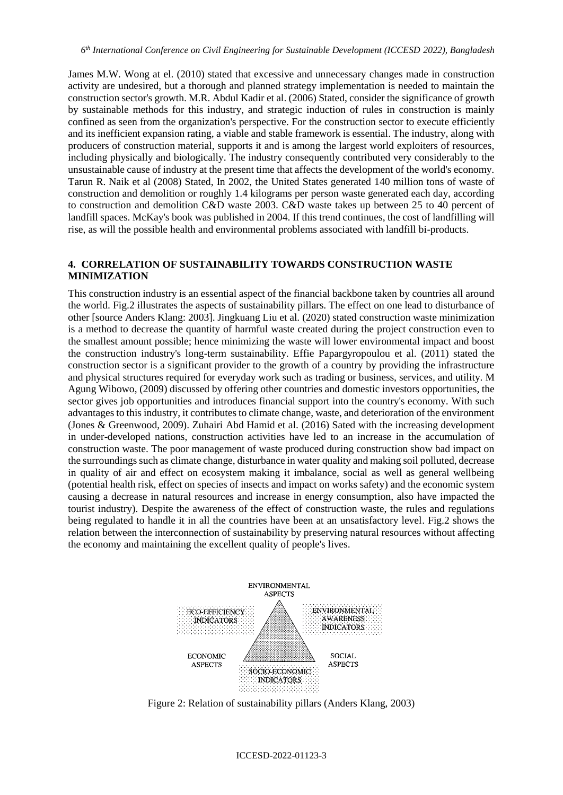James M.W. Wong at el. (2010) stated that excessive and unnecessary changes made in construction activity are undesired, but a thorough and planned strategy implementation is needed to maintain the construction sector's growth. M.R. Abdul Kadir et al. (2006) Stated, consider the significance of growth by sustainable methods for this industry, and strategic induction of rules in construction is mainly confined as seen from the organization's perspective. For the construction sector to execute efficiently and its inefficient expansion rating, a viable and stable framework is essential. The industry, along with producers of construction material, supports it and is among the largest world exploiters of resources, including physically and biologically. The industry consequently contributed very considerably to the unsustainable cause of industry at the present time that affects the development of the world's economy. Tarun R. Naik et al (2008) Stated, In 2002, the United States generated 140 million tons of waste of construction and demolition or roughly 1.4 kilograms per person waste generated each day, according to construction and demolition C&D waste 2003. C&D waste takes up between 25 to 40 percent of landfill spaces. McKay's book was published in 2004. If this trend continues, the cost of landfilling will rise, as will the possible health and environmental problems associated with landfill bi-products.

#### **4. CORRELATION OF SUSTAINABILITY TOWARDS CONSTRUCTION WASTE MINIMIZATION**

This construction industry is an essential aspect of the financial backbone taken by countries all around the world. Fig.2 illustrates the aspects of sustainability pillars. The effect on one lead to disturbance of other [source Anders Klang: 2003]. Jingkuang Liu et al. (2020) stated construction waste minimization is a method to decrease the quantity of harmful waste created during the project construction even to the smallest amount possible; hence minimizing the waste will lower environmental impact and boost the construction industry's long-term sustainability. Effie Papargyropoulou et al. (2011) stated the construction sector is a significant provider to the growth of a country by providing the infrastructure and physical structures required for everyday work such as trading or business, services, and utility. M Agung Wibowo, (2009) discussed by offering other countries and domestic investors opportunities, the sector gives job opportunities and introduces financial support into the country's economy. With such advantages to this industry, it contributes to climate change, waste, and deterioration of the environment (Jones & Greenwood, 2009). Zuhairi Abd Hamid et al. (2016) Sated with the increasing development in under-developed nations, construction activities have led to an increase in the accumulation of construction waste. The poor management of waste produced during construction show bad impact on the surroundings such as climate change, disturbance in water quality and making soil polluted, decrease in quality of air and effect on ecosystem making it imbalance, social as well as general wellbeing (potential health risk, effect on species of insects and impact on works safety) and the economic system causing a decrease in natural resources and increase in energy consumption, also have impacted the tourist industry). Despite the awareness of the effect of construction waste, the rules and regulations being regulated to handle it in all the countries have been at an unsatisfactory level. Fig.2 shows the relation between the interconnection of sustainability by preserving natural resources without affecting the economy and maintaining the excellent quality of people's lives.



Figure 2: Relation of sustainability pillars (Anders Klang, 2003)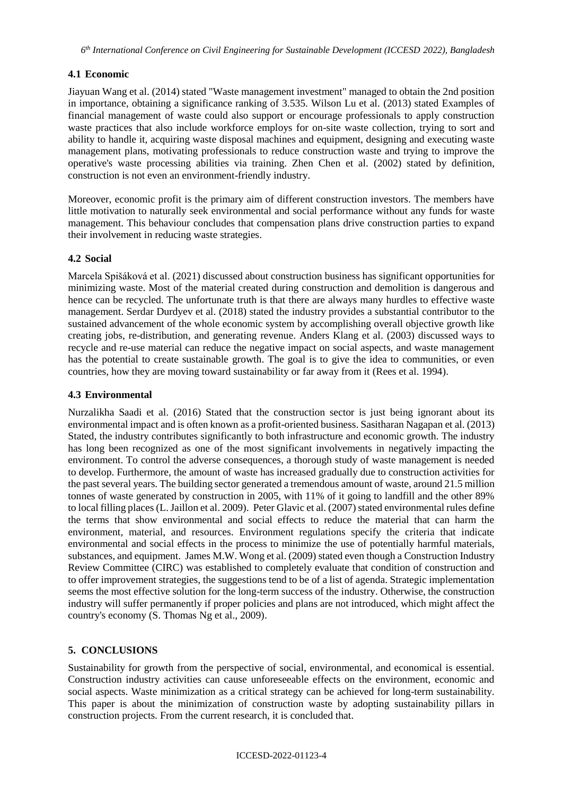### **4.1 Economic**

Jiayuan Wang et al. (2014) stated "Waste management investment" managed to obtain the 2nd position in importance, obtaining a significance ranking of 3.535. Wilson Lu et al. (2013) stated Examples of financial management of waste could also support or encourage professionals to apply construction waste practices that also include workforce employs for on-site waste collection, trying to sort and ability to handle it, acquiring waste disposal machines and equipment, designing and executing waste management plans, motivating professionals to reduce construction waste and trying to improve the operative's waste processing abilities via training. Zhen Chen et al. (2002) stated by definition, construction is not even an environment-friendly industry.

Moreover, economic profit is the primary aim of different construction investors. The members have little motivation to naturally seek environmental and social performance without any funds for waste management. This behaviour concludes that compensation plans drive construction parties to expand their involvement in reducing waste strategies.

### **4.2 Social**

Marcela Spišáková et al. (2021) discussed about construction business has significant opportunities for minimizing waste. Most of the material created during construction and demolition is dangerous and hence can be recycled. The unfortunate truth is that there are always many hurdles to effective waste management. Serdar Durdyev et al. (2018) stated the industry provides a substantial contributor to the sustained advancement of the whole economic system by accomplishing overall objective growth like creating jobs, re-distribution, and generating revenue. Anders Klang et al. (2003) discussed ways to recycle and re-use material can reduce the negative impact on social aspects, and waste management has the potential to create sustainable growth. The goal is to give the idea to communities, or even countries, how they are moving toward sustainability or far away from it (Rees et al. 1994).

#### **4.3 Environmental**

Nurzalikha Saadi et al. (2016) Stated that the construction sector is just being ignorant about its environmental impact and is often known as a profit-oriented business. Sasitharan Nagapan et al. (2013) Stated, the industry contributes significantly to both infrastructure and economic growth. The industry has long been recognized as one of the most significant involvements in negatively impacting the environment. To control the adverse consequences, a thorough study of waste management is needed to develop. Furthermore, the amount of waste has increased gradually due to construction activities for the past several years. The building sector generated a tremendous amount of waste, around 21.5 million tonnes of waste generated by construction in 2005, with 11% of it going to landfill and the other 89% to local filling places (L. Jaillon et al. 2009). Peter Glavic et al. (2007) stated environmental rules define the terms that show environmental and social effects to reduce the material that can harm the environment, material, and resources. Environment regulations specify the criteria that indicate environmental and social effects in the process to minimize the use of potentially harmful materials, substances, and equipment. James M.W. Wong et al. (2009) stated even though a Construction Industry Review Committee (CIRC) was established to completely evaluate that condition of construction and to offer improvement strategies, the suggestions tend to be of a list of agenda. Strategic implementation seems the most effective solution for the long-term success of the industry. Otherwise, the construction industry will suffer permanently if proper policies and plans are not introduced, which might affect the country's economy (S. Thomas Ng et al., 2009).

## **5. CONCLUSIONS**

Sustainability for growth from the perspective of social, environmental, and economical is essential. Construction industry activities can cause unforeseeable effects on the environment, economic and social aspects. Waste minimization as a critical strategy can be achieved for long-term sustainability. This paper is about the minimization of construction waste by adopting sustainability pillars in construction projects. From the current research, it is concluded that.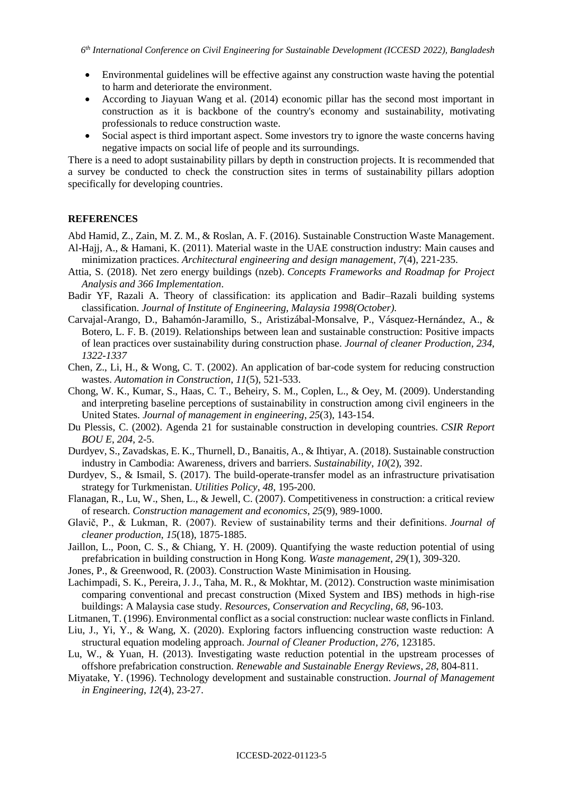- Environmental guidelines will be effective against any construction waste having the potential to harm and deteriorate the environment.
- According to Jiayuan Wang et al. (2014) economic pillar has the second most important in construction as it is backbone of the country's economy and sustainability, motivating professionals to reduce construction waste.
- Social aspect is third important aspect. Some investors try to ignore the waste concerns having negative impacts on social life of people and its surroundings.

There is a need to adopt sustainability pillars by depth in construction projects. It is recommended that a survey be conducted to check the construction sites in terms of sustainability pillars adoption specifically for developing countries.

#### **REFERENCES**

Abd Hamid, Z., Zain, M. Z. M., & Roslan, A. F. (2016). Sustainable Construction Waste Management. Al-Hajj, A., & Hamani, K. (2011). Material waste in the UAE construction industry: Main causes and minimization practices. *Architectural engineering and design management*, *7*(4), 221-235.

- Attia, S. (2018). Net zero energy buildings (nzeb). *Concepts Frameworks and Roadmap for Project Analysis and 366 Implementation*.
- Badir YF, Razali A. Theory of classification: its application and Badir–Razali building systems classification. *Journal of Institute of Engineering, Malaysia 1998(October).*
- Carvajal-Arango, D., Bahamón-Jaramillo, S., Aristizábal-Monsalve, P., Vásquez-Hernández, A., & Botero, L. F. B. (2019). Relationships between lean and sustainable construction: Positive impacts of lean practices over sustainability during construction phase. *Journal of cleaner Production, 234, 1322-1337*
- Chen, Z., Li, H., & Wong, C. T. (2002). An application of bar-code system for reducing construction wastes. *Automation in Construction*, *11*(5), 521-533.
- Chong, W. K., Kumar, S., Haas, C. T., Beheiry, S. M., Coplen, L., & Oey, M. (2009). Understanding and interpreting baseline perceptions of sustainability in construction among civil engineers in the United States. *Journal of management in engineering*, *25*(3), 143-154.
- Du Plessis, C. (2002). Agenda 21 for sustainable construction in developing countries. *CSIR Report BOU E*, *204*, 2-5.
- Durdyev, S., Zavadskas, E. K., Thurnell, D., Banaitis, A., & Ihtiyar, A. (2018). Sustainable construction industry in Cambodia: Awareness, drivers and barriers. *Sustainability*, *10*(2), 392.
- Durdyev, S., & Ismail, S. (2017). The build-operate-transfer model as an infrastructure privatisation strategy for Turkmenistan. *Utilities Policy*, *48*, 195-200.
- Flanagan, R., Lu, W., Shen, L., & Jewell, C. (2007). Competitiveness in construction: a critical review of research. *Construction management and economics*, *25*(9), 989-1000.
- Glavič, P., & Lukman, R. (2007). Review of sustainability terms and their definitions. *Journal of cleaner production*, *15*(18), 1875-1885.
- Jaillon, L., Poon, C. S., & Chiang, Y. H. (2009). Quantifying the waste reduction potential of using prefabrication in building construction in Hong Kong. *Waste management*, *29*(1), 309-320.
- Jones, P., & Greenwood, R. (2003). Construction Waste Minimisation in Housing.
- Lachimpadi, S. K., Pereira, J. J., Taha, M. R., & Mokhtar, M. (2012). Construction waste minimisation comparing conventional and precast construction (Mixed System and IBS) methods in high-rise buildings: A Malaysia case study. *Resources, Conservation and Recycling*, *68*, 96-103.
- Litmanen, T. (1996). Environmental conflict as a social construction: nuclear waste conflicts in Finland.
- Liu, J., Yi, Y., & Wang, X. (2020). Exploring factors influencing construction waste reduction: A structural equation modeling approach. *Journal of Cleaner Production*, *276*, 123185.
- Lu, W., & Yuan, H. (2013). Investigating waste reduction potential in the upstream processes of offshore prefabrication construction. *Renewable and Sustainable Energy Reviews*, *28*, 804-811.
- Miyatake, Y. (1996). Technology development and sustainable construction. *Journal of Management in Engineering*, *12*(4), 23-27.